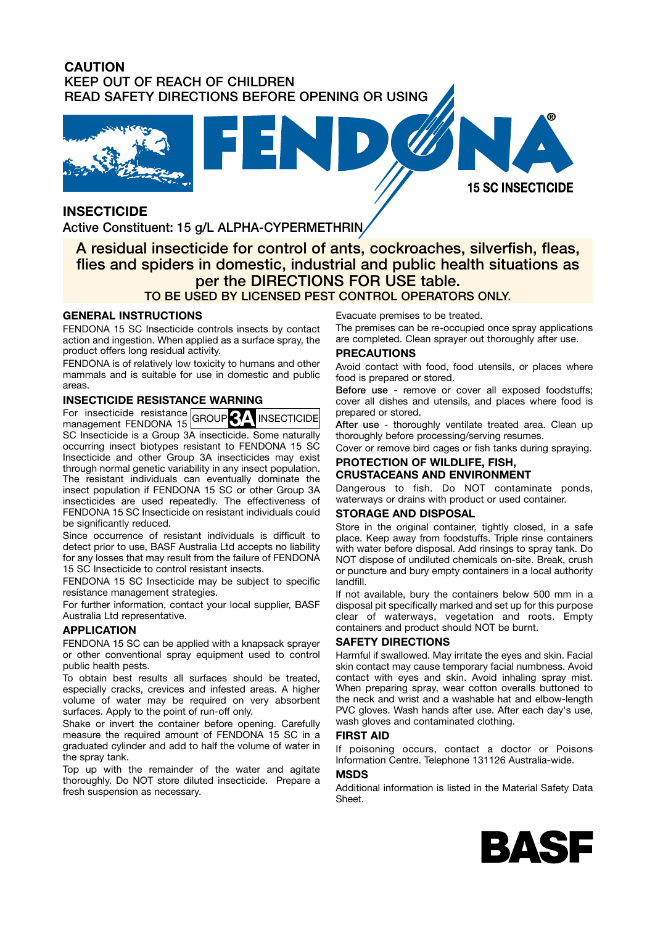## **CAUTION KEEP OUT OF REACH OF CHILDREN READ SAFETY DIRECTIONS BEFORE OPENING OR USING**





# **INSECTICIDE**

**Active Constituent: 15 g/L ALPHA-CYPERMETHRIN** 

# **A residual insecticide for control of ants, cockroaches, silverfish, fleas, flies and spiders in domestic, industrial and public health situations as per the DIRECTIONS FOR USE table.**

# **TO BE USED BY LICENSED PEST CONTROL OPERATORS ONLY.**

## **GENERAL INSTRUCTIONS**

FENDONA 15 SC Insecticide controls insects by contact action and ingestion. When applied as a surface spray, the product offers long residual activity.

FENDONA is of relatively low toxicity to humans and other mammals and is suitable for use in domestic and public areas.

## **INSECTICIDE RESISTANCE WARNING**

For insecticide resistance For insecticide resistance GROUP<sup>3</sup><sup>4</sup> INSECTICIDE management FENDONA 15 GROUP<sup>3</sup> SC Insecticide is a Group 3A insecticide. Some naturally occurring insect biotypes resistant to FENDONA 15 SC Insecticide and other Group 3A insecticides may exist through normal genetic variability in any insect population. The resistant individuals can eventually dominate the insect population if FENDONA 15 SC or other Group 3A insecticides are used repeatedly. The effectiveness of FENDONA 15 SC Insecticide on resistant individuals could be significantly reduced.

Since occurrence of resistant individuals is difficult to detect prior to use, BASF Australia Ltd accepts no liability for any losses that may result from the failure of FENDONA 15 SC Insecticide to control resistant insects.

FENDONA 15 SC Insecticide may be subject to specific resistance management strategies.

For further information, contact your local supplier, BASF Australia Ltd representative.

## **APPLICATION**

FENDONA 15 SC can be applied with a knapsack sprayer or other conventional spray equipment used to control public health pests.

To obtain best results all surfaces should be treated, especially cracks, crevices and infested areas. A higher volume of water may be required on very absorbent surfaces. Apply to the point of run-off only.

Shake or invert the container before opening. Carefully measure the required amount of FENDONA 15 SC in a graduated cylinder and add to half the volume of water in the spray tank.

Top up with the remainder of the water and agitate thoroughly. Do NOT store diluted insecticide. Prepare a fresh suspension as necessary.

Evacuate premises to be treated.

The premises can be re-occupied once spray applications are completed. Clean sprayer out thoroughly after use.

#### **PRECAUTIONS**

Avoid contact with food, food utensils, or places where food is prepared or stored.

**Before use** - remove or cover all exposed foodstuffs; cover all dishes and utensils, and places where food is prepared or stored.

**After use** - thoroughly ventilate treated area. Clean up thoroughly before processing/serving resumes.

Cover or remove bird cages or fish tanks during spraying.

#### **PROTECTION OF WILDLIFE, FISH, CRUSTACEANS AND ENVIRONMENT**

Dangerous to fish. Do NOT contaminate ponds, waterways or drains with product or used container.

#### **STORAGE AND DISPOSAL**

Store in the original container, tightly closed, in a safe place. Keep away from foodstuffs. Triple rinse containers with water before disposal. Add rinsings to spray tank. Do NOT dispose of undiluted chemicals on-site. Break, crush or puncture and bury empty containers in a local authority landfill.

If not available, bury the containers below 500 mm in a disposal pit specifically marked and set up for this purpose clear of waterways, vegetation and roots. Empty containers and product should NOT be burnt.

#### **SAFETY DIRECTIONS**

Harmful if swallowed. May irritate the eyes and skin. Facial skin contact may cause temporary facial numbness. Avoid contact with eyes and skin. Avoid inhaling spray mist. When preparing spray, wear cotton overalls buttoned to the neck and wrist and a washable hat and elbow-length PVC gloves. Wash hands after use. After each day's use, wash gloves and contaminated clothing.

#### **FIRST AID**

If poisoning occurs, contact a doctor or Poisons Information Centre. Telephone 131126 Australia-wide.

#### **MSDS**

Additional information is listed in the Material Safety Data Sheet.